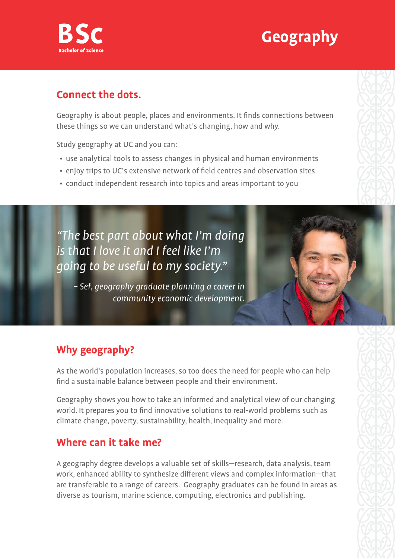



#### **Connect the dots.**

Geography is about people, places and environments. It finds connections between these things so we can understand what's changing, how and why.

Study geography at UC and you can:

- use analytical tools to assess changes in physical and human environments
- enjoy trips to UC's extensive network of field centres and observation sites
- conduct independent research into topics and areas important to you

"The best part about what I'm doing is that I love it and I feel like I'm going to be useful to my society."

– Sef, geography graduate planning a career in community economic development.

# **Why geography?**

As the world's population increases, so too does the need for people who can help find a sustainable balance between people and their environment.

Geography shows you how to take an informed and analytical view of our changing world. It prepares you to find innovative solutions to real-world problems such as climate change, poverty, sustainability, health, inequality and more.

### **Where can it take me?**

A geography degree develops a valuable set of skills—research, data analysis, team work, enhanced ability to synthesize different views and complex information—that are transferable to a range of careers. Geography graduates can be found in areas as diverse as tourism, marine science, computing, electronics and publishing.